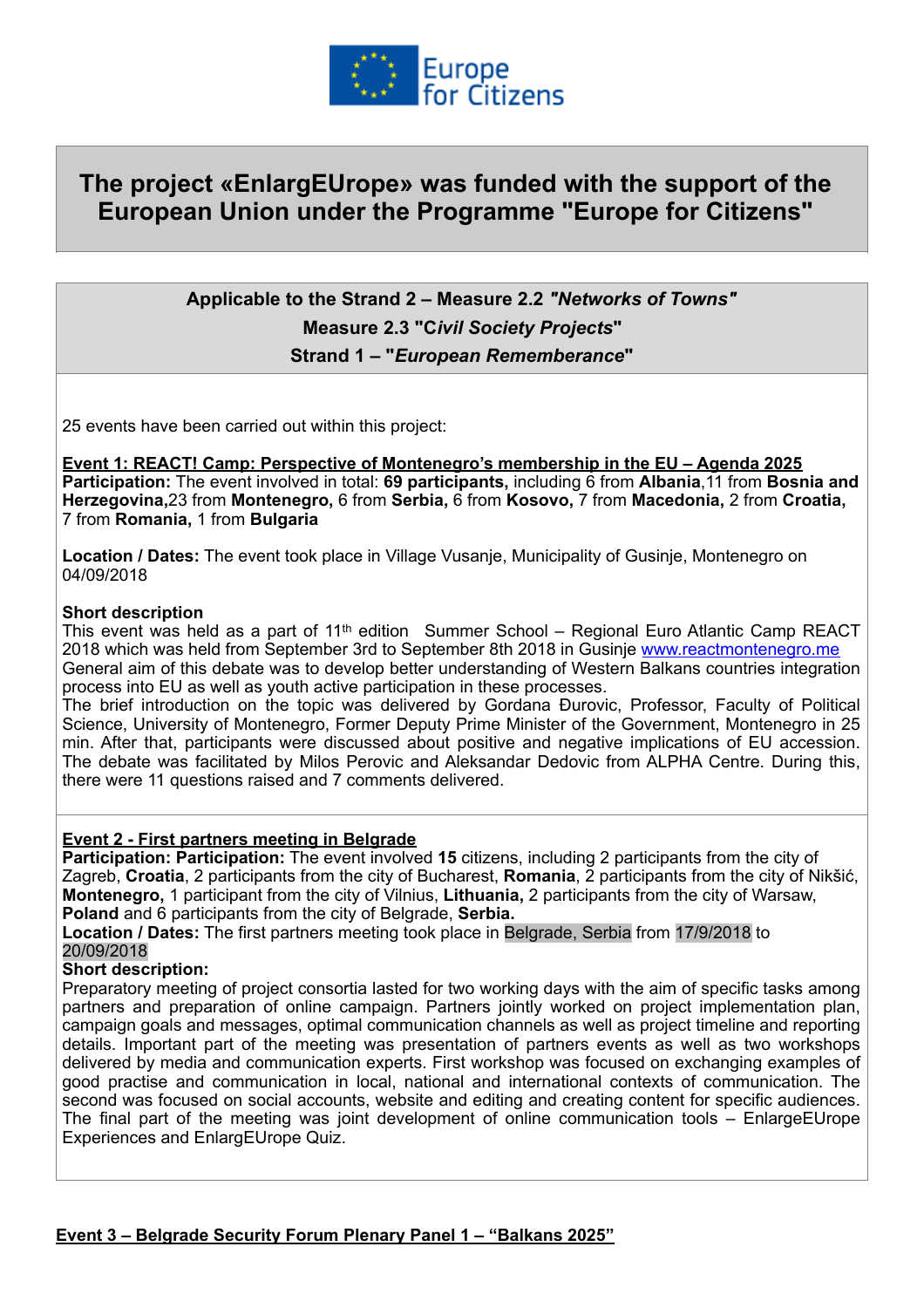

# **The project «EnlargEUrope» was funded with the support of the European Union under the Programme "Europe for Citizens"**

## **Applicable to the Strand 2 – Measure 2.2** *"Networks of Towns"*  **Measure 2.3 "C***ivil Society Projects***" Strand 1 – "***European Rememberance***"**

25 events have been carried out within this project:

**Event 1: REACT! Camp: Perspective of Montenegro's membership in the EU – Agenda 2025 Participation:** The event involved in total: **69 participants,** including 6 from **Albania**,11 from **Bosnia and Herzegovina,**23 from **Montenegro,** 6 from **Serbia,** 6 from **Kosovo,** 7 from **Macedonia,** 2 from **Croatia,**  7 from **Romania,** 1 from **Bulgaria**

**Location / Dates:** The event took place in Village Vusanje, Municipality of Gusinje, Montenegro on 04/09/2018

#### **Short description**

This event was held as a part of 11th edition Summer School – Regional Euro Atlantic Camp REACT 2018 which was held from September 3rd to September 8th 2018 in Gusinje [www.reactmontenegro.me](http://www.reactmontenegro.me)  General aim of this debate was to develop better understanding of Western Balkans countries integration process into EU as well as youth active participation in these processes.

The brief introduction on the topic was delivered by Gordana Đurovic, Professor, Faculty of Political Science, University of Montenegro, Former Deputy Prime Minister of the Government, Montenegro in 25 min. After that, participants were discussed about positive and negative implications of EU accession. The debate was facilitated by Milos Perovic and Aleksandar Dedovic from ALPHA Centre. During this, there were 11 questions raised and 7 comments delivered.

#### **Event 2 - First partners meeting in Belgrade**

**Participation: Participation:** The event involved **15** citizens, including 2 participants from the city of Zagreb, **Croatia**, 2 participants from the city of Bucharest, **Romania**, 2 participants from the city of Nikšić, **Montenegro,** 1 participant from the city of Vilnius, **Lithuania,** 2 participants from the city of Warsaw, **Poland** and 6 participants from the city of Belgrade, **Serbia.**

**Location / Dates:** The first partners meeting took place in Belgrade, Serbia from 17/9/2018 to 20/09/2018

#### **Short description:**

Preparatory meeting of project consortia lasted for two working days with the aim of specific tasks among partners and preparation of online campaign. Partners jointly worked on project implementation plan, campaign goals and messages, optimal communication channels as well as project timeline and reporting details. Important part of the meeting was presentation of partners events as well as two workshops delivered by media and communication experts. First workshop was focused on exchanging examples of good practise and communication in local, national and international contexts of communication. The second was focused on social accounts, website and editing and creating content for specific audiences. The final part of the meeting was joint development of online communication tools – EnlargeEUrope Experiences and EnlargEUrope Quiz.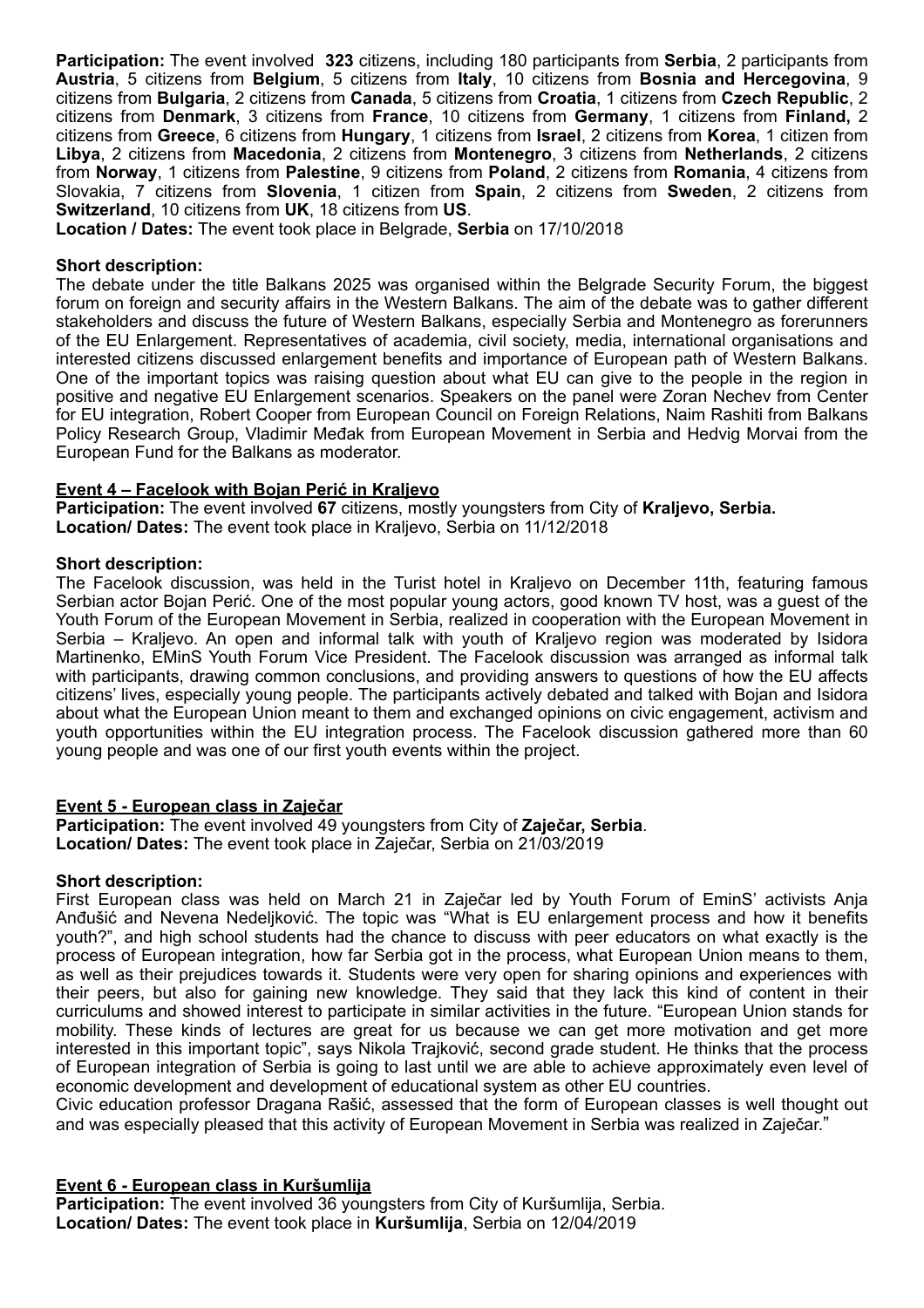**Participation:** The event involved **323** citizens, including 180 participants from **Serbia**, 2 participants from **Austria**, 5 citizens from **Belgium**, 5 citizens from **Italy**, 10 citizens from **Bosnia and Hercegovina**, 9 citizens from **Bulgaria**, 2 citizens from **Canada**, 5 citizens from **Croatia**, 1 citizens from **Czech Republic**, 2 citizens from **Denmark**, 3 citizens from **France**, 10 citizens from **Germany**, 1 citizens from **Finland,** 2 citizens from **Greece**, 6 citizens from **Hungary**, 1 citizens from **Israel**, 2 citizens from **Korea**, 1 citizen from **Libya**, 2 citizens from **Macedonia**, 2 citizens from **Montenegro**, 3 citizens from **Netherlands**, 2 citizens from **Norway**, 1 citizens from **Palestine**, 9 citizens from **Poland**, 2 citizens from **Romania**, 4 citizens from Slovakia, 7 citizens from **Slovenia**, 1 citizen from **Spain**, 2 citizens from **Sweden**, 2 citizens from **Switzerland**, 10 citizens from **UK**, 18 citizens from **US**.

**Location / Dates:** The event took place in Belgrade, **Serbia** on 17/10/2018

#### **Short description:**

The debate under the title Balkans 2025 was organised within the Belgrade Security Forum, the biggest forum on foreign and security affairs in the Western Balkans. The aim of the debate was to gather different stakeholders and discuss the future of Western Balkans, especially Serbia and Montenegro as forerunners of the EU Enlargement. Representatives of academia, civil society, media, international organisations and interested citizens discussed enlargement benefits and importance of European path of Western Balkans. One of the important topics was raising question about what EU can give to the people in the region in positive and negative EU Enlargement scenarios. Speakers on the panel were Zoran Nechev from Center for EU integration, Robert Cooper from European Council on Foreign Relations, Naim Rashiti from Balkans Policy Research Group, Vladimir Međak from European Movement in Serbia and Hedvig Morvai from the European Fund for the Balkans as moderator.

#### **Event 4 – Facelook with Bojan Perić in Kraljevo**

**Participation:** The event involved **67** citizens, mostly youngsters from City of **Kraljevo, Serbia. Location/ Dates:** The event took place in Kraljevo, Serbia on 11/12/2018

#### **Short description:**

The Facelook discussion, was held in the Turist hotel in Kraljevo on December 11th, featuring famous Serbian actor Bojan Perić. One of the most popular young actors, good known TV host, was a guest of the Youth Forum of the European Movement in Serbia, realized in cooperation with the European Movement in Serbia – Kraljevo. An open and informal talk with youth of Kraljevo region was moderated by Isidora Martinenko, EMinS Youth Forum Vice President. The Facelook discussion was arranged as informal talk with participants, drawing common conclusions, and providing answers to questions of how the EU affects citizens' lives, especially young people. The participants actively debated and talked with Bojan and Isidora about what the European Union meant to them and exchanged opinions on civic engagement, activism and youth opportunities within the EU integration process. The Facelook discussion gathered more than 60 young people and was one of our first youth events within the project.

## **Event 5 - European class in Zaječar**

**Participation:** The event involved 49 youngsters from City of **Zaječar, Serbia**. **Location/ Dates:** The event took place in Zaječar, Serbia on 21/03/2019

#### **Short description:**

First European class was held on March 21 in Zaječar led by Youth Forum of EminS' activists Anja Anđušić and Nevena Nedeljković. The topic was "What is EU enlargement process and how it benefits youth?", and high school students had the chance to discuss with peer educators on what exactly is the process of European integration, how far Serbia got in the process, what European Union means to them, as well as their prejudices towards it. Students were very open for sharing opinions and experiences with their peers, but also for gaining new knowledge. They said that they lack this kind of content in their curriculums and showed interest to participate in similar activities in the future. "European Union stands for mobility. These kinds of lectures are great for us because we can get more motivation and get more interested in this important topic", says Nikola Trajković, second grade student. He thinks that the process of European integration of Serbia is going to last until we are able to achieve approximately even level of economic development and development of educational system as other EU countries.

Civic education professor Dragana Rašić, assessed that the form of European classes is well thought out and was especially pleased that this activity of European Movement in Serbia was realized in Zaječar."

## **Event 6 - European class in Kuršumlija**

**Participation:** The event involved 36 youngsters from City of Kuršumlija, Serbia. **Location/ Dates:** The event took place in **Kuršumlija**, Serbia on 12/04/2019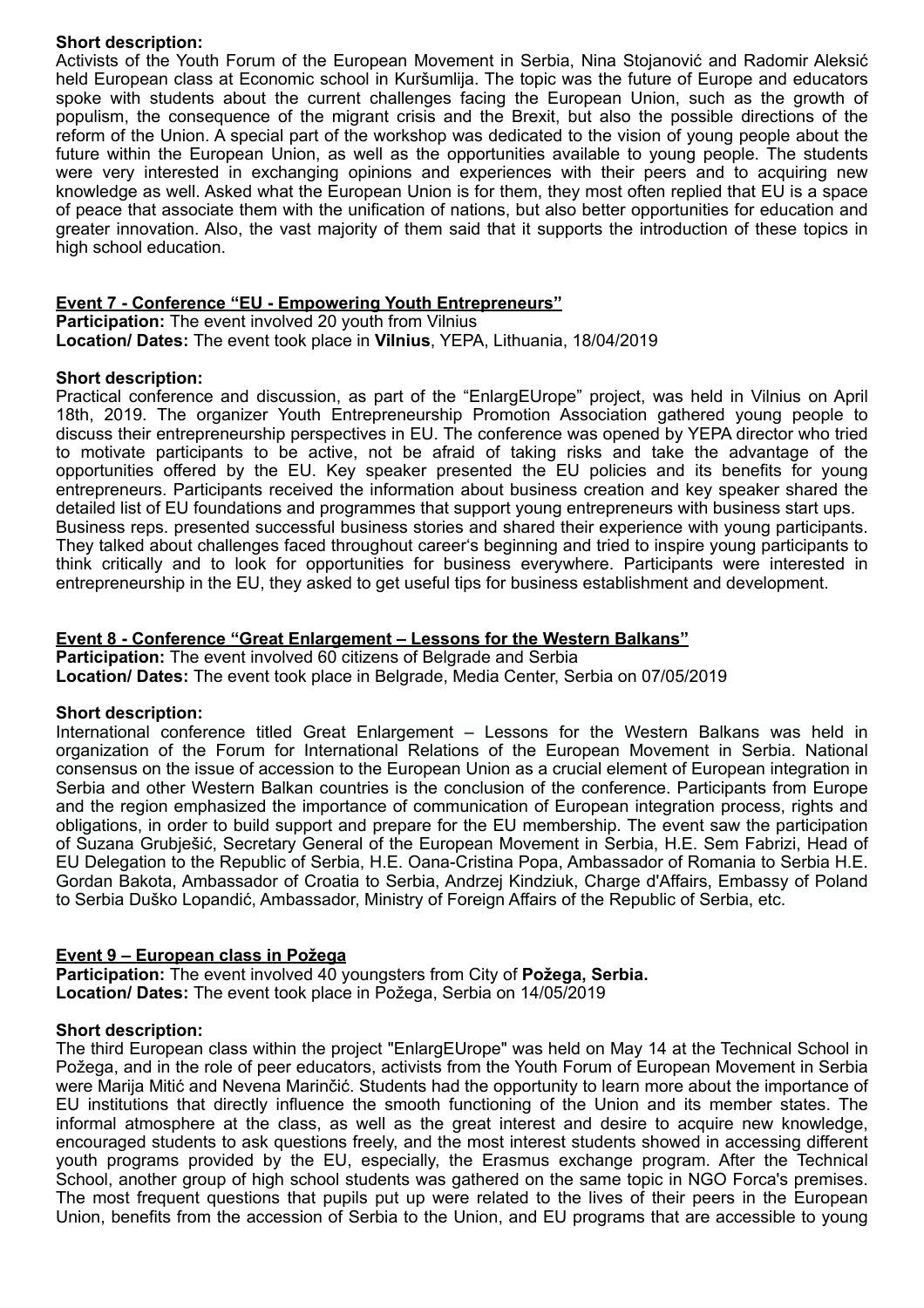#### **Short description:**

Activists of the Youth Forum of the European Movement in Serbia, Nina Stojanović and Radomir Aleksić held European class at Economic school in Kuršumlija. The topic was the future of Europe and educators spoke with students about the current challenges facing the European Union, such as the growth of populism, the consequence of the migrant crisis and the Brexit, but also the possible directions of the reform of the Union. A special part of the workshop was dedicated to the vision of young people about the future within the European Union, as well as the opportunities available to young people. The students were very interested in exchanging opinions and experiences with their peers and to acquiring new knowledge as well. Asked what the European Union is for them, they most often replied that EU is a space of peace that associate them with the unification of nations, but also better opportunities for education and greater innovation. Also, the vast majority of them said that it supports the introduction of these topics in high school education.

## **Event 7 - Conference "EU - Empowering Youth Entrepreneurs"**

**Participation:** The event involved 20 youth from Vilnius **Location/ Dates:** The event took place in **Vilnius**, YEPA, Lithuania, 18/04/2019

#### **Short description:**

Practical conference and discussion, as part of the "EnlargEUrope" project, was held in Vilnius on April 18th, 2019. The organizer Youth Entrepreneurship Promotion Association gathered young people to discuss their entrepreneurship perspectives in EU. The conference was opened by YEPA director who tried to motivate participants to be active, not be afraid of taking risks and take the advantage of the opportunities offered by the EU. Key speaker presented the EU policies and its benefits for young entrepreneurs. Participants received the information about business creation and key speaker shared the detailed list of EU foundations and programmes that support young entrepreneurs with business start ups. Business reps. presented successful business stories and shared their experience with young participants. They talked about challenges faced throughout career's beginning and tried to inspire young participants to think critically and to look for opportunities for business everywhere. Participants were interested in entrepreneurship in the EU, they asked to get useful tips for business establishment and development.

## **Event 8 - Conference "Great Enlargement – Lessons for the Western Balkans"**

**Participation:** The event involved 60 citizens of Belgrade and Serbia **Location/ Dates:** The event took place in Belgrade, Media Center, Serbia on 07/05/2019

## **Short description:**

International conference titled Great Enlargement – Lessons for the Western Balkans was held in organization of the Forum for International Relations of the European Movement in Serbia. National consensus on the issue of accession to the European Union as a crucial element of European integration in Serbia and other Western Balkan countries is the conclusion of the conference. Participants from Europe and the region emphasized the importance of communication of European integration process, rights and obligations, in order to build support and prepare for the EU membership. The event saw the participation of Suzana Grubješić, Secretary General of the European Movement in Serbia, H.E. Sem Fabrizi, Head of EU Delegation to the Republic of Serbia, H.E. Oana-Cristina Popa, Ambassador of Romania to Serbia H.E. Gordan Bakota, Ambassador of Croatia to Serbia, Andrzej Kindziuk, Charge d'Affairs, Embassy of Poland to Serbia Duško Lopandić, Ambassador, Ministry of Foreign Affairs of the Republic of Serbia, etc.

## **Event 9 – European class in Požega**

**Participation:** The event involved 40 youngsters from City of **Požega, Serbia. Location/ Dates:** The event took place in Požega, Serbia on 14/05/2019

#### **Short description:**

The third European class within the project "EnlargEUrope" was held on May 14 at the Technical School in Požega, and in the role of peer educators, activists from the Youth Forum of European Movement in Serbia were Marija Mitić and Nevena Marinčić. Students had the opportunity to learn more about the importance of EU institutions that directly influence the smooth functioning of the Union and its member states. The informal atmosphere at the class, as well as the great interest and desire to acquire new knowledge, encouraged students to ask questions freely, and the most interest students showed in accessing different youth programs provided by the EU, especially, the Erasmus exchange program. After the Technical School, another group of high school students was gathered on the same topic in NGO Forca's premises. The most frequent questions that pupils put up were related to the lives of their peers in the European Union, benefits from the accession of Serbia to the Union, and EU programs that are accessible to young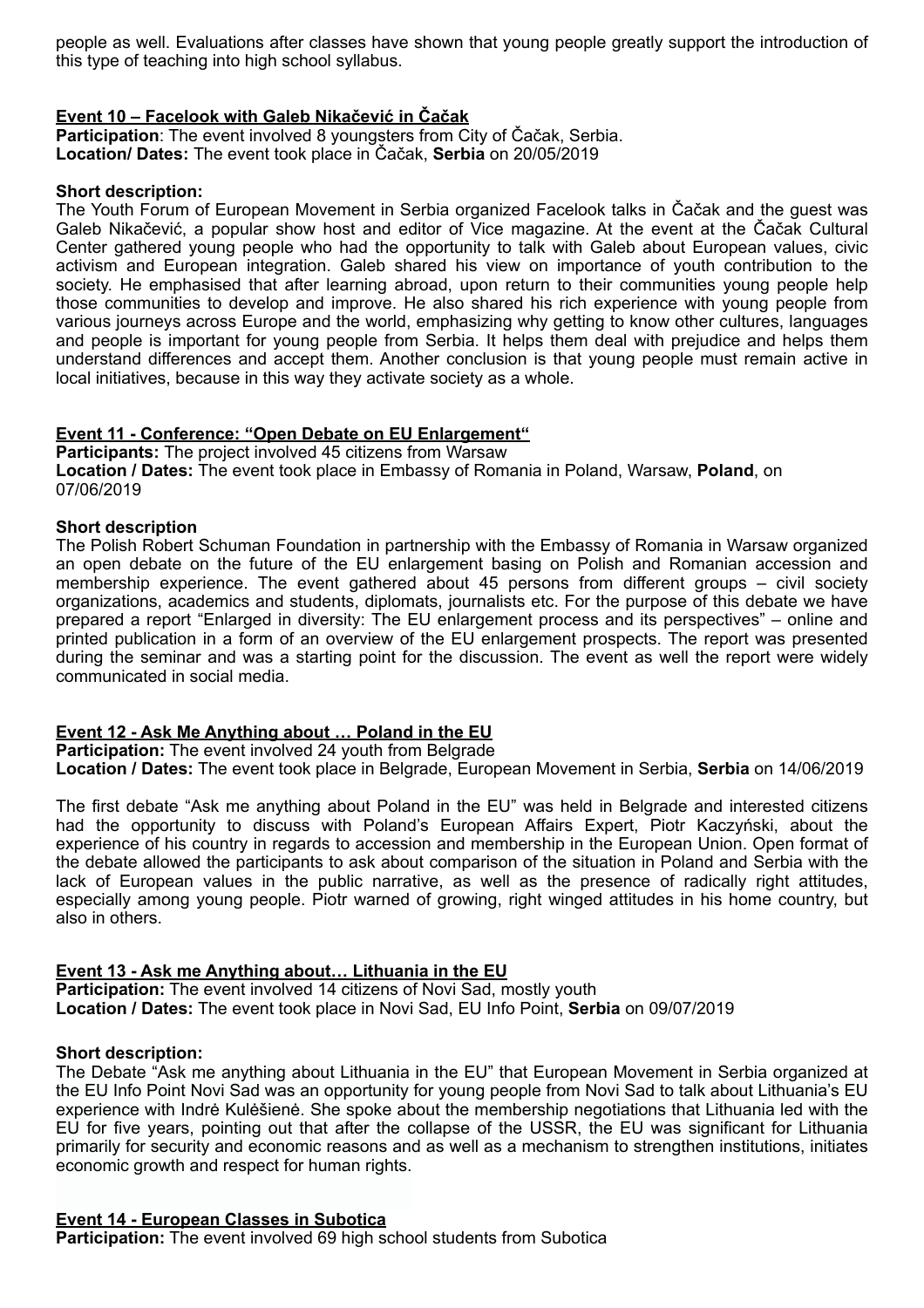people as well. Evaluations after classes have shown that young people greatly support the introduction of this type of teaching into high school syllabus.

## **Event 10 – Facelook with Galeb Nikačević in Čačak**

**Participation**: The event involved 8 youngsters from City of Čačak, Serbia. **Location/ Dates:** The event took place in Čačak, **Serbia** on 20/05/2019

#### **Short description:**

The Youth Forum of European Movement in Serbia organized Facelook talks in Čačak and the guest was Galeb Nikačević, a popular show host and editor of Vice magazine. At the event at the Čačak Cultural Center gathered young people who had the opportunity to talk with Galeb about European values, civic activism and European integration. Galeb shared his view on importance of youth contribution to the society. He emphasised that after learning abroad, upon return to their communities young people help those communities to develop and improve. He also shared his rich experience with young people from various journeys across Europe and the world, emphasizing why getting to know other cultures, languages and people is important for young people from Serbia. It helps them deal with prejudice and helps them understand differences and accept them. Another conclusion is that young people must remain active in local initiatives, because in this way they activate society as a whole.

## **Event 11 - Conference: "Open Debate on EU Enlargement"**

**Participants:** The project involved 45 citizens from Warsaw **Location / Dates:** The event took place in Embassy of Romania in Poland, Warsaw, **Poland**, on 07/06/2019

#### **Short description**

The Polish Robert Schuman Foundation in partnership with the Embassy of Romania in Warsaw organized an open debate on the future of the EU enlargement basing on Polish and Romanian accession and membership experience. The event gathered about 45 persons from different groups – civil society organizations, academics and students, diplomats, journalists etc. For the purpose of this debate we have prepared a report "Enlarged in diversity: The EU enlargement process and its perspectives" – online and printed publication in a form of an overview of the EU enlargement prospects. The report was presented during the seminar and was a starting point for the discussion. The event as well the report were widely communicated in social media.

## **Event 12 - Ask Me Anything about … Poland in the EU**

**Participation:** The event involved 24 youth from Belgrade

**Location / Dates:** The event took place in Belgrade, European Movement in Serbia, **Serbia** on 14/06/2019

The first debate "Ask me anything about Poland in the EU" was held in Belgrade and interested citizens had the opportunity to discuss with Poland's European Affairs Expert, Piotr Kaczyński, about the experience of his country in regards to accession and membership in the European Union. Open format of the debate allowed the participants to ask about comparison of the situation in Poland and Serbia with the lack of European values in the public narrative, as well as the presence of radically right attitudes, especially among young people. Piotr warned of growing, right winged attitudes in his home country, but also in others.

## **Event 13 - Ask me Anything about… Lithuania in the EU**

**Participation:** The event involved 14 citizens of Novi Sad, mostly youth **Location / Dates:** The event took place in Novi Sad, EU Info Point, **Serbia** on 09/07/2019

#### **Short description:**

The Debate "Ask me anything about Lithuania in the EU" that European Movement in Serbia organized at the EU Info Point Novi Sad was an opportunity for young people from Novi Sad to talk about Lithuania's EU experience with Indrė Kulėšienė. She spoke about the membership negotiations that Lithuania led with the EU for five years, pointing out that after the collapse of the USSR, the EU was significant for Lithuania primarily for security and economic reasons and as well as a mechanism to strengthen institutions, initiates economic growth and respect for human rights.

## **Event 14 - European Classes in Subotica**

**Participation:** The event involved 69 high school students from Subotica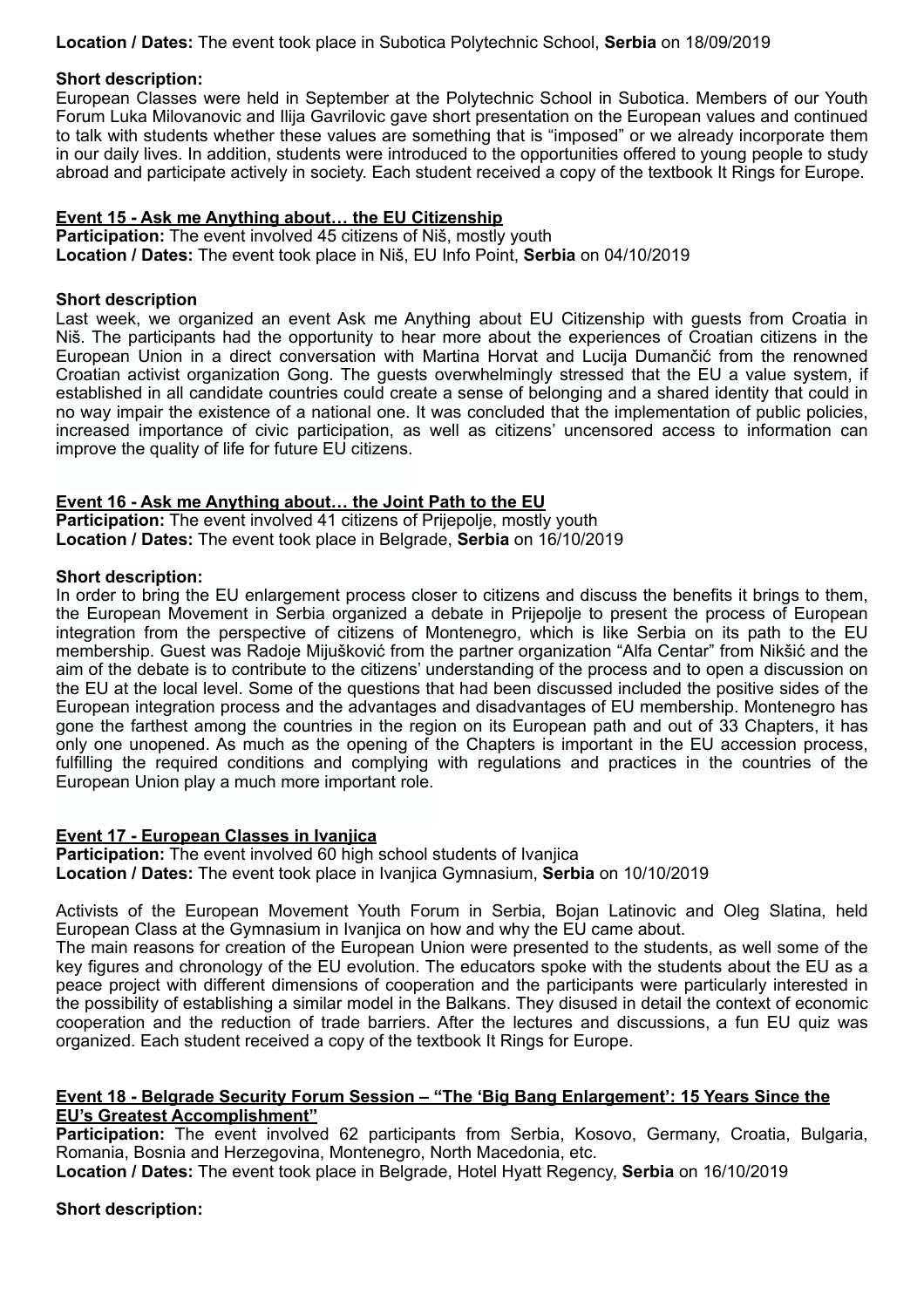**Location / Dates:** The event took place in Subotica Polytechnic School, **Serbia** on 18/09/2019

#### **Short description:**

European Classes were held in September at the Polytechnic School in Subotica. Members of our Youth Forum Luka Milovanovic and Ilija Gavrilovic gave short presentation on the European values and continued to talk with students whether these values are something that is "imposed" or we already incorporate them in our daily lives. In addition, students were introduced to the opportunities offered to young people to study abroad and participate actively in society. Each student received a copy of the textbook It Rings for Europe.

#### **Event 15 - Ask me Anything about… the EU Citizenship**

**Participation:** The event involved 45 citizens of Niš, mostly youth **Location / Dates:** The event took place in Niš, EU Info Point, **Serbia** on 04/10/2019

#### **Short description**

Last week, we organized an event Ask me Anything about EU Citizenship with guests from Croatia in Niš. The participants had the opportunity to hear more about the experiences of Croatian citizens in the European Union in a direct conversation with Martina Horvat and Lucija Dumančić from the renowned Croatian activist organization Gong. The guests overwhelmingly stressed that the EU a value system, if established in all candidate countries could create a sense of belonging and a shared identity that could in no way impair the existence of a national one. It was concluded that the implementation of public policies, increased importance of civic participation, as well as citizens' uncensored access to information can improve the quality of life for future EU citizens.

#### **Event 16 - Ask me Anything about… the Joint Path to the EU**

**Participation:** The event involved 41 citizens of Prijepolje, mostly youth **Location / Dates:** The event took place in Belgrade, **Serbia** on 16/10/2019

#### **Short description:**

In order to bring the EU enlargement process closer to citizens and discuss the benefits it brings to them, the European Movement in Serbia organized a debate in Prijepolje to present the process of European integration from the perspective of citizens of Montenegro, which is like Serbia on its path to the EU membership. Guest was Radoje Mijušković from the partner organization "Alfa Centar" from Nikšić and the aim of the debate is to contribute to the citizens' understanding of the process and to open a discussion on the EU at the local level. Some of the questions that had been discussed included the positive sides of the European integration process and the advantages and disadvantages of EU membership. Montenegro has gone the farthest among the countries in the region on its European path and out of 33 Chapters, it has only one unopened. As much as the opening of the Chapters is important in the EU accession process, fulfilling the required conditions and complying with regulations and practices in the countries of the European Union play a much more important role.

## **Event 17 - European Classes in Ivanjica**

**Participation:** The event involved 60 high school students of Ivanjica **Location / Dates:** The event took place in Ivanjica Gymnasium, **Serbia** on 10/10/2019

Activists of the European Movement Youth Forum in Serbia, Bojan Latinovic and Oleg Slatina, held European Class at the Gymnasium in Ivanjica on how and why the EU came about.

The main reasons for creation of the European Union were presented to the students, as well some of the key figures and chronology of the EU evolution. The educators spoke with the students about the EU as a peace project with different dimensions of cooperation and the participants were particularly interested in the possibility of establishing a similar model in the Balkans. They disused in detail the context of economic cooperation and the reduction of trade barriers. After the lectures and discussions, a fun EU quiz was organized. Each student received a copy of the textbook It Rings for Europe.

#### **Event 18 - Belgrade Security Forum Session – "The 'Big Bang Enlargement': 15 Years Since the EU's Greatest Accomplishment"**

Participation: The event involved 62 participants from Serbia, Kosovo, Germany, Croatia, Bulgaria, Romania, Bosnia and Herzegovina, Montenegro, North Macedonia, etc.

**Location / Dates:** The event took place in Belgrade, Hotel Hyatt Regency, **Serbia** on 16/10/2019

#### **Short description:**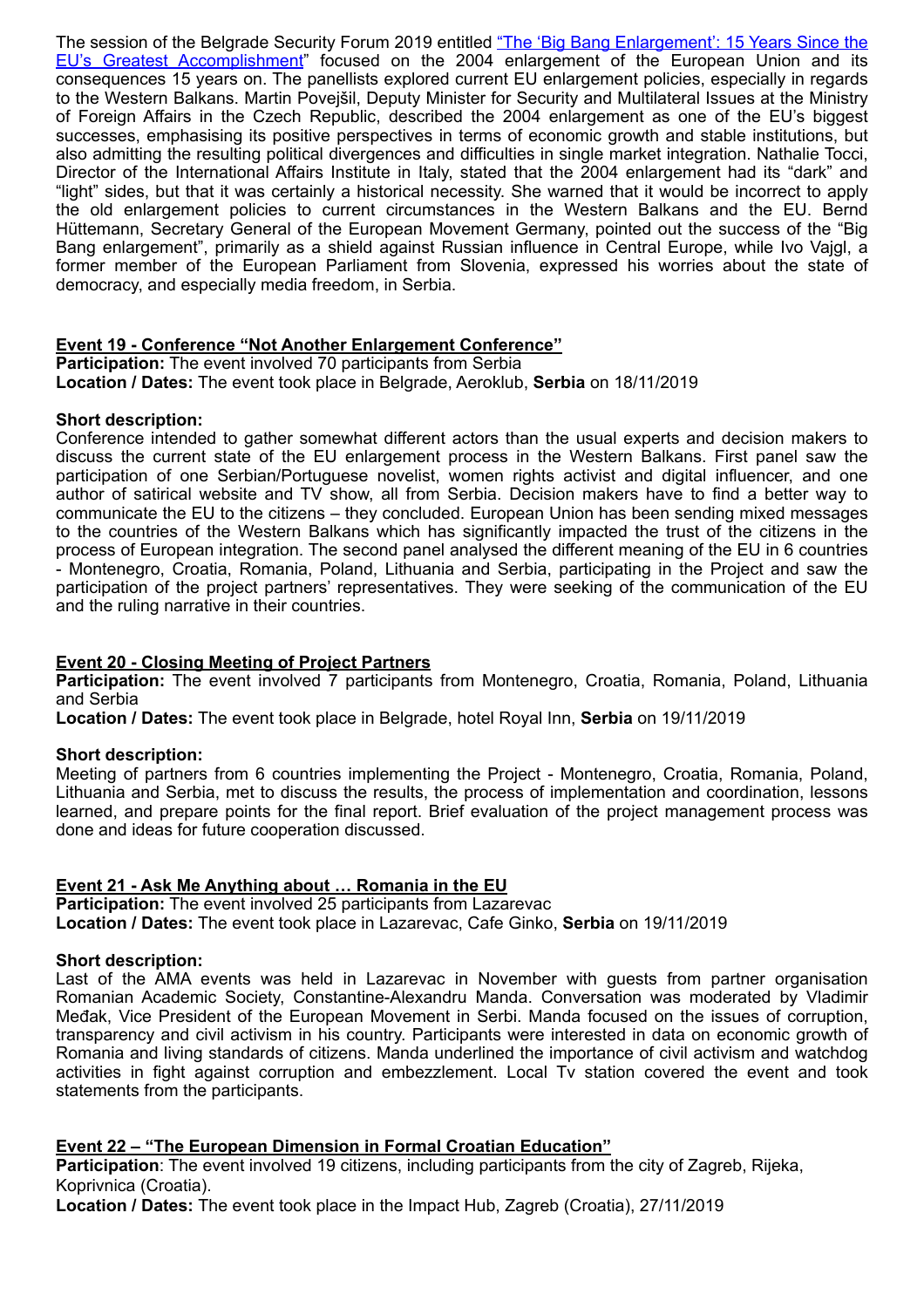The session of the Belgrade Security Forum 2019 entitled ["The 'Big Bang Enlargement': 15 Years Since the](http://www.belgradeforum.org/session/session-1-the-big-bang-enlargement-15-years-since-the-eus-greatest-accomplishment-2/) [EU's Greatest Accomplishment](http://www.belgradeforum.org/session/session-1-the-big-bang-enlargement-15-years-since-the-eus-greatest-accomplishment-2/)" focused on the 2004 enlargement of the European Union and its consequences 15 years on. The panellists explored current EU enlargement policies, especially in regards to the Western Balkans. Martin Povejšil, Deputy Minister for Security and Multilateral Issues at the Ministry of Foreign Affairs in the Czech Republic, described the 2004 enlargement as one of the EU's biggest successes, emphasising its positive perspectives in terms of economic growth and stable institutions, but also admitting the resulting political divergences and difficulties in single market integration. Nathalie Tocci, Director of the International Affairs Institute in Italy, stated that the 2004 enlargement had its "dark" and "light" sides, but that it was certainly a historical necessity. She warned that it would be incorrect to apply the old enlargement policies to current circumstances in the Western Balkans and the EU. Bernd Hüttemann, Secretary General of the European Movement Germany, pointed out the success of the "Big Bang enlargement", primarily as a shield against Russian influence in Central Europe, while Ivo Vajgl, a former member of the European Parliament from Slovenia, expressed his worries about the state of democracy, and especially media freedom, in Serbia.

## **Event 19 - Conference "Not Another Enlargement Conference"**

**Participation:** The event involved 70 participants from Serbia **Location / Dates:** The event took place in Belgrade, Aeroklub, **Serbia** on 18/11/2019

## **Short description:**

Conference intended to gather somewhat different actors than the usual experts and decision makers to discuss the current state of the EU enlargement process in the Western Balkans. First panel saw the participation of one Serbian/Portuguese novelist, women rights activist and digital influencer, and one author of satirical website and TV show, all from Serbia. Decision makers have to find a better way to communicate the EU to the citizens – they concluded. European Union has been sending mixed messages to the countries of the Western Balkans which has significantly impacted the trust of the citizens in the process of European integration. The second panel analysed the different meaning of the EU in 6 countries - Montenegro, Croatia, Romania, Poland, Lithuania and Serbia, participating in the Project and saw the participation of the project partners' representatives. They were seeking of the communication of the EU and the ruling narrative in their countries.

## **Event 20 - Closing Meeting of Project Partners**

**Participation:** The event involved 7 participants from Montenegro, Croatia, Romania, Poland, Lithuania and Serbia

**Location / Dates:** The event took place in Belgrade, hotel Royal Inn, **Serbia** on 19/11/2019

## **Short description:**

Meeting of partners from 6 countries implementing the Project - Montenegro, Croatia, Romania, Poland, Lithuania and Serbia, met to discuss the results, the process of implementation and coordination, lessons learned, and prepare points for the final report. Brief evaluation of the project management process was done and ideas for future cooperation discussed.

## **Event 21 - Ask Me Anything about … Romania in the EU**

**Participation:** The event involved 25 participants from Lazarevac **Location / Dates:** The event took place in Lazarevac, Cafe Ginko, **Serbia** on 19/11/2019

## **Short description:**

Last of the AMA events was held in Lazarevac in November with guests from partner organisation Romanian Academic Society, Constantine-Alexandru Manda. Conversation was moderated by Vladimir Međak, Vice President of the European Movement in Serbi. Manda focused on the issues of corruption, transparency and civil activism in his country. Participants were interested in data on economic growth of Romania and living standards of citizens. Manda underlined the importance of civil activism and watchdog activities in fight against corruption and embezzlement. Local Tv station covered the event and took statements from the participants.

## **Event 22 – "The European Dimension in Formal Croatian Education"**

**Participation**: The event involved 19 citizens, including participants from the city of Zagreb, Rijeka, Koprivnica (Croatia).

**Location / Dates:** The event took place in the Impact Hub, Zagreb (Croatia), 27/11/2019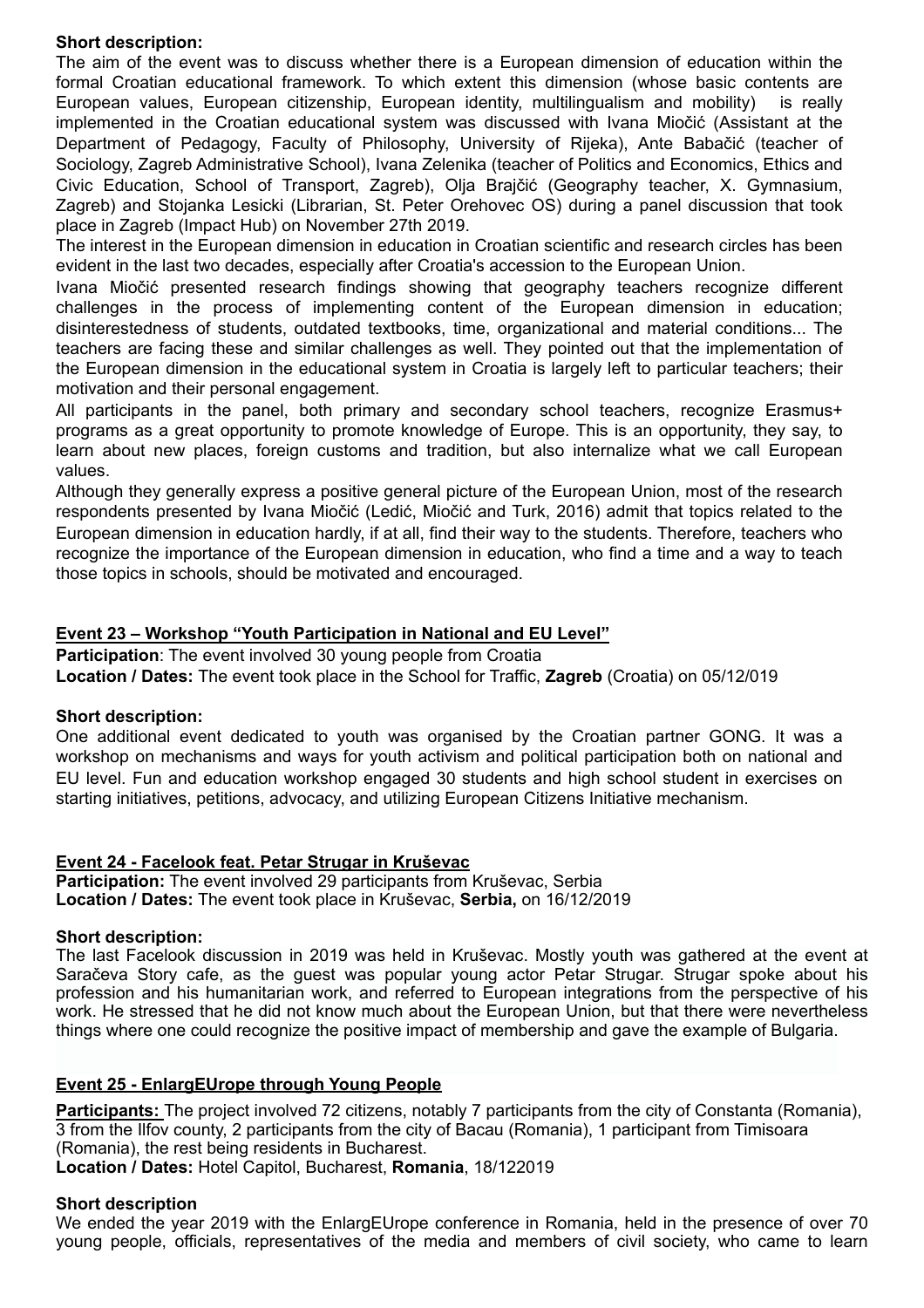## **Short description:**

The aim of the event was to discuss whether there is a European dimension of education within the formal Croatian educational framework. To which extent this dimension (whose basic contents are European values, European citizenship, European identity, multilingualism and mobility) is really implemented in the Croatian educational system was discussed with Ivana Miočić (Assistant at the Department of Pedagogy, Faculty of Philosophy, University of Rijeka), Ante Babačić (teacher of Sociology, Zagreb Administrative School), Ivana Zelenika (teacher of Politics and Economics, Ethics and Civic Education, School of Transport, Zagreb), Olja Brajčić (Geography teacher, X. Gymnasium, Zagreb) and Stojanka Lesicki (Librarian, St. Peter Orehovec OS) during a panel discussion that took place in Zagreb (Impact Hub) on November 27th 2019.

The interest in the European dimension in education in Croatian scientific and research circles has been evident in the last two decades, especially after Croatia's accession to the European Union.

Ivana Miočić presented research findings showing that geography teachers recognize different challenges in the process of implementing content of the European dimension in education; disinterestedness of students, outdated textbooks, time, organizational and material conditions... The teachers are facing these and similar challenges as well. They pointed out that the implementation of the European dimension in the educational system in Croatia is largely left to particular teachers; their motivation and their personal engagement.

All participants in the panel, both primary and secondary school teachers, recognize Erasmus+ programs as a great opportunity to promote knowledge of Europe. This is an opportunity, they say, to learn about new places, foreign customs and tradition, but also internalize what we call European values.

Although they generally express a positive general picture of the European Union, most of the research respondents presented by Ivana Miočić (Ledić, Miočić and Turk, 2016) admit that topics related to the European dimension in education hardly, if at all, find their way to the students. Therefore, teachers who recognize the importance of the European dimension in education, who find a time and a way to teach those topics in schools, should be motivated and encouraged.

## **Event 23 – Workshop "Youth Participation in National and EU Level"**

**Participation:** The event involved 30 young people from Croatia

**Location / Dates:** The event took place in the School for Traffic, **Zagreb** (Croatia) on 05/12/019

## **Short description:**

One additional event dedicated to youth was organised by the Croatian partner GONG. It was a workshop on mechanisms and ways for youth activism and political participation both on national and EU level. Fun and education workshop engaged 30 students and high school student in exercises on starting initiatives, petitions, advocacy, and utilizing European Citizens Initiative mechanism.

## **Event 24 - Facelook feat. Petar Strugar in Kruševac**

**Participation:** The event involved 29 participants from Kruševac, Serbia **Location / Dates:** The event took place in Kruševac, **Serbia,** on 16/12/2019

## **Short description:**

The last Facelook discussion in 2019 was held in Kruševac. Mostly youth was gathered at the event at Saračeva Story cafe, as the guest was popular young actor Petar Strugar. Strugar spoke about his profession and his humanitarian work, and referred to European integrations from the perspective of his work. He stressed that he did not know much about the European Union, but that there were nevertheless things where one could recognize the positive impact of membership and gave the example of Bulgaria.

## **Event 25 - EnlargEUrope through Young People**

**Participants:** The project involved 72 citizens, notably 7 participants from the city of Constanta (Romania), 3 from the Ilfov county, 2 participants from the city of Bacau (Romania), 1 participant from Timisoara (Romania), the rest being residents in Bucharest.

**Location / Dates:** Hotel Capitol, Bucharest, **Romania**, 18/122019

## **Short description**

We ended the year 2019 with the EnlargEUrope conference in Romania, held in the presence of over 70 young people, officials, representatives of the media and members of civil society, who came to learn